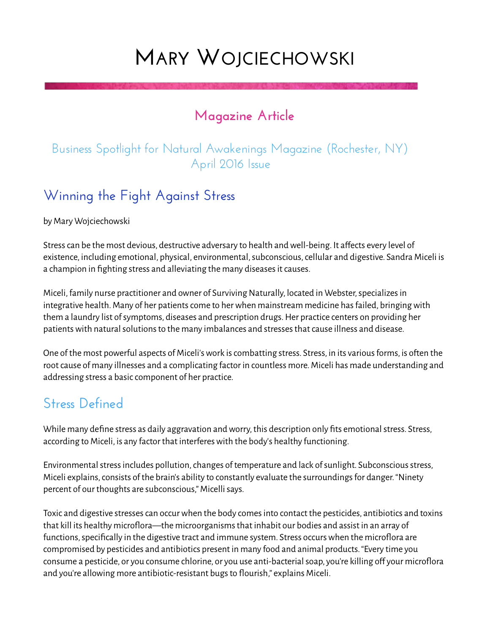# **MARY WOJCIECHOWSKI**

### **Magazine Article**

#### Business Spotlight for Natural Awakenings Magazine (Rochester, NY) April 2016 Issue

### **Winning the Fight Against Stress**

by Mary Wojciechowski

Stress can be the most devious, destructive adversary to health and well-being. It affects every level of existence, including emotional, physical, environmental, subconscious, cellular and digestive. Sandra Miceli is a champion in fighting stress and alleviating the many diseases it causes.

Miceli, family nurse practitioner and owner of Surviving Naturally, located in Webster, specializes in integrative health. Many of her patients come to her when mainstream medicine has failed, bringing with them a laundry list of symptoms, diseases and prescription drugs. Her practice centers on providing her patients with natural solutions to the many imbalances and stresses that cause illness and disease.

One of the most powerful aspects of Miceli's work is combatting stress. Stress, in its various forms, is often the root cause of many illnesses and a complicating factor in countless more. Miceli has made understanding and addressing stress a basic component of her practice.

### **Stress Defined**

While many define stress as daily aggravation and worry, this description only fits emotional stress. Stress, according to Miceli, is any factor that interferes with the body's healthy functioning.

Environmental stress includes pollution, changes of temperature and lack of sunlight. Subconscious stress, Miceli explains, consists of the brain's ability to constantly evaluate the surroundings for danger. "Ninety percent of our thoughts are subconscious," Micelli says.

Toxic and digestive stresses can occur when the body comes into contact the pesticides, antibiotics and toxins that kill its healthy microflora—the microorganisms that inhabit our bodies and assist in an array of functions, specifically in the digestive tract and immune system. Stress occurs when the microflora are compromised by pesticides and antibiotics present in many food and animal products. "Every time you consume a pesticide, or you consume chlorine, or you use anti-bacterial soap, you're killing off your microflora and you're allowing more antibiotic-resistant bugs to flourish," explains Miceli.